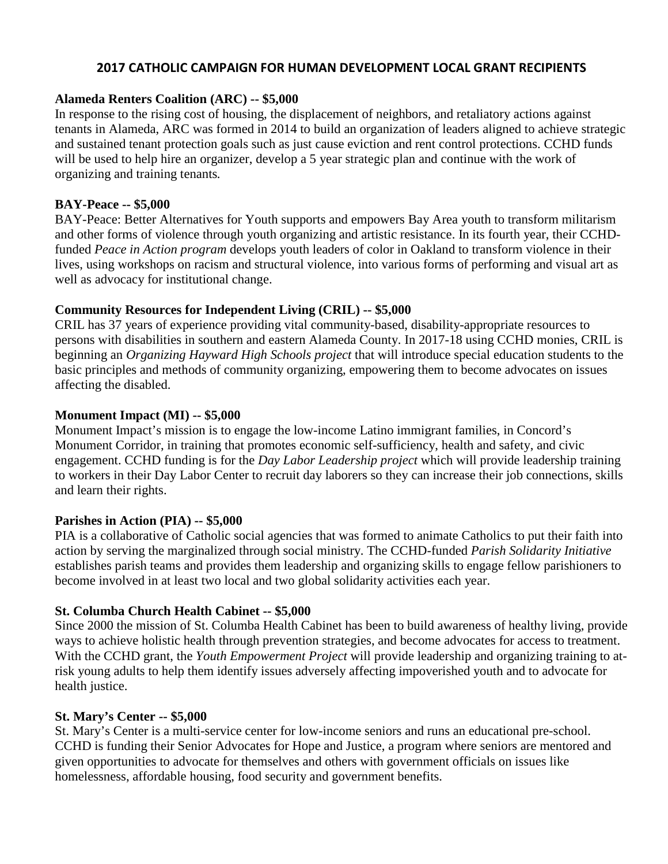# **2017 CATHOLIC CAMPAIGN FOR HUMAN DEVELOPMENT LOCAL GRANT RECIPIENTS**

#### **Alameda Renters Coalition (ARC) -- \$5,000**

In response to the rising cost of housing, the displacement of neighbors, and retaliatory actions against tenants in Alameda, ARC was formed in 2014 to build an organization of leaders aligned to achieve strategic and sustained tenant protection goals such as just cause eviction and rent control protections. CCHD funds will be used to help hire an organizer, develop a 5 year strategic plan and continue with the work of organizing and training tenants*.*

#### **BAY-Peace -- \$5,000**

BAY-Peace: Better Alternatives for Youth supports and empowers Bay Area youth to transform militarism and other forms of violence through youth organizing and artistic resistance. In its fourth year, their CCHDfunded *Peace in Action program* develops youth leaders of color in Oakland to transform violence in their lives, using workshops on racism and structural violence, into various forms of performing and visual art as well as advocacy for institutional change.

# **Community Resources for Independent Living (CRIL) -- \$5,000**

CRIL has 37 years of experience providing vital community-based, disability-appropriate resources to persons with disabilities in southern and eastern Alameda County. In 2017-18 using CCHD monies, CRIL is beginning an *Organizing Hayward High Schools project* that will introduce special education students to the basic principles and methods of community organizing, empowering them to become advocates on issues affecting the disabled.

# **Monument Impact (MI) -- \$5,000**

Monument Impact's mission is to engage the low-income Latino immigrant families, in Concord's Monument Corridor, in training that promotes economic self-sufficiency, health and safety, and civic engagement. CCHD funding is for the *Day Labor Leadership project* which will provide leadership training to workers in their Day Labor Center to recruit day laborers so they can increase their job connections, skills and learn their rights.

# **Parishes in Action (PIA) -- \$5,000**

PIA is a collaborative of Catholic social agencies that was formed to animate Catholics to put their faith into action by serving the marginalized through social ministry. The CCHD-funded *Parish Solidarity Initiative* establishes parish teams and provides them leadership and organizing skills to engage fellow parishioners to become involved in at least two local and two global solidarity activities each year.

# **St. Columba Church Health Cabinet -- \$5,000**

Since 2000 the mission of St. Columba Health Cabinet has been to build awareness of healthy living, provide ways to achieve holistic health through prevention strategies, and become advocates for access to treatment. With the CCHD grant, the *Youth Empowerment Project* will provide leadership and organizing training to atrisk young adults to help them identify issues adversely affecting impoverished youth and to advocate for health justice.

# **St. Mary's Center -- \$5,000**

St. Mary's Center is a multi-service center for low-income seniors and runs an educational pre-school. CCHD is funding their Senior Advocates for Hope and Justice, a program where seniors are mentored and given opportunities to advocate for themselves and others with government officials on issues like homelessness, affordable housing, food security and government benefits.